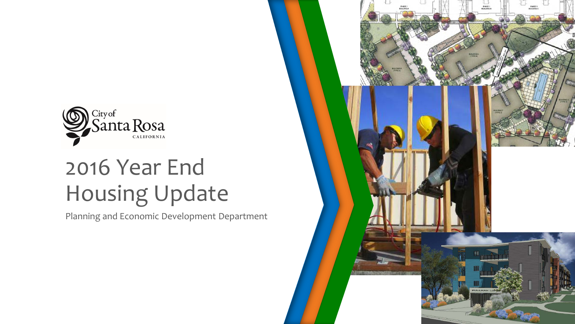

## 2016 Year End Housing Update

Planning and Economic Development Department

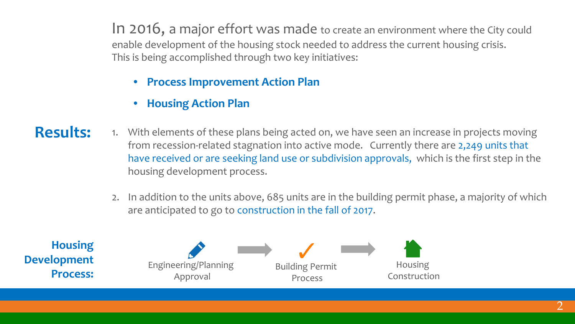In 2016, a major effort was made to create an environment where the City could enable development of the housing stock needed to address the current housing crisis. This is being accomplished through two key initiatives:

- **Process Improvement Action Plan**
- **Housing Action Plan**
- 1. With elements of these plans being acted on, we have seen an increase in projects moving from recession-related stagnation into active mode. Currently there are 2,249 units that have received or are seeking land use or subdivision approvals, which is the first step in the housing development process. **Results:** 
	- 2. In addition to the units above, 685 units are in the building permit phase, a majority of which are anticipated to go to construction in the fall of 2017.

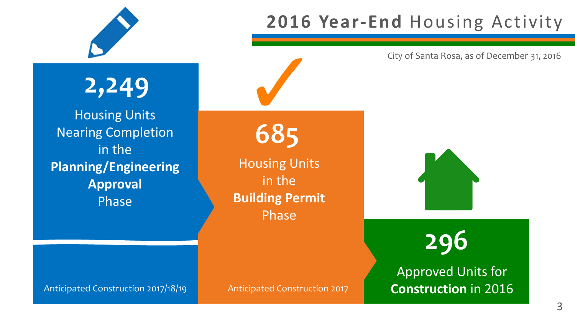

**2,249**

Housing Units Nearing Completion in the **Planning/Engineering Approval**  Phase

Housing Units in the **Building Permit**  Phase

**685**

Anticipated Construction 2017/18/19 Anticipated Construction 2017

### **2016 Year-End** Housing Activity

City of Santa Rosa, as of December 31, 2016

**296**

Approved Units for **Construction** in 2016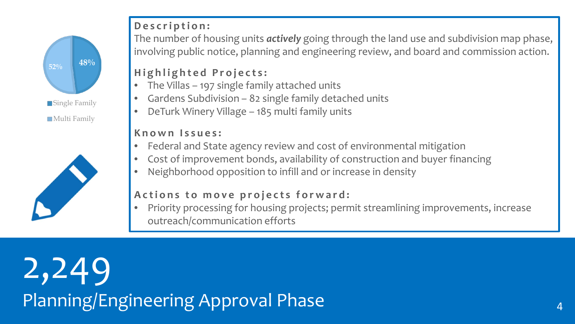# **48% 52% Single Family Multi Family**



#### **Description:**

The number of housing units *actively* going through the land use and subdivision map phase, involving public notice, planning and engineering review, and board and commission action.

#### **Highlighted Projects:**

- The Villas 197 single family attached units
- Gardens Subdivision 82 single family detached units
- DeTurk Winery Village 185 multi family units

#### **Known Issues:**

- Federal and State agency review and cost of environmental mitigation
- Cost of improvement bonds, availability of construction and buyer financing
- Neighborhood opposition to infill and or increase in density

#### **Actions to move projects forward:**

• Priority processing for housing projects; permit streamlining improvements, increase outreach/communication efforts

2,249 Planning/Engineering Approval Phase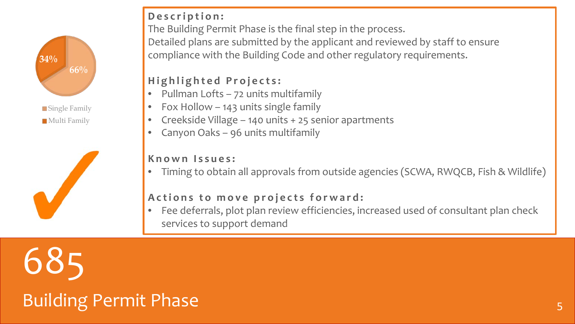



#### **Description:**

The Building Permit Phase is the final step in the process.

Detailed plans are submitted by the applicant and reviewed by staff to ensure compliance with the Building Code and other regulatory requirements.

#### **Highlighted Projects:**

- Pullman Lofts 72 units multifamily
- Fox Hollow 143 units single family
- Creekside Village 140 units + 25 senior apartments
- Canyon Oaks 96 units multifamily

#### **Known Issues:**

• Timing to obtain all approvals from outside agencies (SCWA, RWQCB, Fish & Wildlife)

#### **Actions to move projects forward:**

• Fee deferrals, plot plan review efficiencies, increased used of consultant plan check services to support demand

685

### Building Permit Phase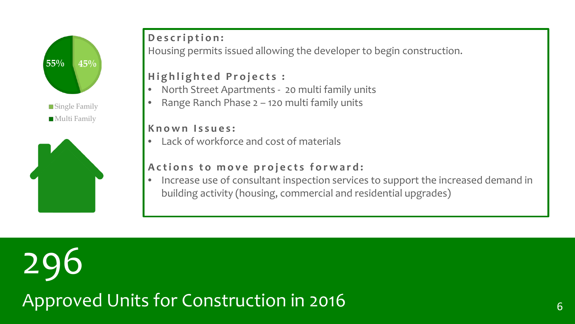

**Single Family Multi Family** 



#### **Description:**

Housing permits issued allowing the developer to begin construction.

#### **Highlighted Projects :**

- North Street Apartments 20 multi family units
- Range Ranch Phase 2 120 multi family units

#### **Known Issues:**

• Lack of workforce and cost of materials

#### **Actions to move projects forward:**

• Increase use of consultant inspection services to support the increased demand in building activity (housing, commercial and residential upgrades)

296 Approved Units for Construction in 2016